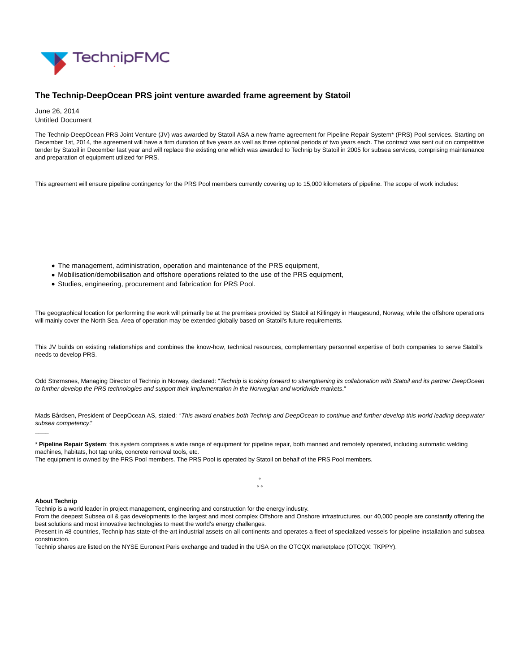

## **The Technip-DeepOcean PRS joint venture awarded frame agreement by Statoil**

June 26, 2014 Untitled Document

The Technip-DeepOcean PRS Joint Venture (JV) was awarded by Statoil ASA a new frame agreement for Pipeline Repair System\* (PRS) Pool services. Starting on December 1st, 2014, the agreement will have a firm duration of five years as well as three optional periods of two years each. The contract was sent out on competitive tender by Statoil in December last year and will replace the existing one which was awarded to Technip by Statoil in 2005 for subsea services, comprising maintenance and preparation of equipment utilized for PRS.

This agreement will ensure pipeline contingency for the PRS Pool members currently covering up to 15,000 kilometers of pipeline. The scope of work includes:

- The management, administration, operation and maintenance of the PRS equipment,
- Mobilisation/demobilisation and offshore operations related to the use of the PRS equipment,
- Studies, engineering, procurement and fabrication for PRS Pool.

The geographical location for performing the work will primarily be at the premises provided by Statoil at Killingøy in Haugesund, Norway, while the offshore operations will mainly cover the North Sea. Area of operation may be extended globally based on Statoil's future requirements.

This JV builds on existing relationships and combines the know-how, technical resources, complementary personnel expertise of both companies to serve Statoil's needs to develop PRS.

Odd Strømsnes, Managing Director of Technip in Norway, declared: "Technip is looking forward to strengthening its collaboration with Statoil and its partner DeepOcean to further develop the PRS technologies and support their implementation in the Norwegian and worldwide markets."

Mads Bårdsen, President of DeepOcean AS, stated: "This award enables both Technip and DeepOcean to continue and further develop this world leading deepwater subsea competency."

\* **Pipeline Repair System**: this system comprises a wide range of equipment for pipeline repair, both manned and remotely operated, including automatic welding machines, habitats, hot tap units, concrete removal tools, etc.

The equipment is owned by the PRS Pool members. The PRS Pool is operated by Statoil on behalf of the PRS Pool members.

## **About Technip**

\_\_\_\_

Technip is a world leader in project management, engineering and construction for the energy industry.

From the deepest Subsea oil & gas developments to the largest and most complex Offshore and Onshore infrastructures, our 40,000 people are constantly offering the best solutions and most innovative technologies to meet the world's energy challenges.

°  $\circ$ 

Present in 48 countries, Technip has state-of-the-art industrial assets on all continents and operates a fleet of specialized vessels for pipeline installation and subsea construction.

Technip shares are listed on the NYSE Euronext Paris exchange and traded in the USA on the OTCQX marketplace (OTCQX: TKPPY).